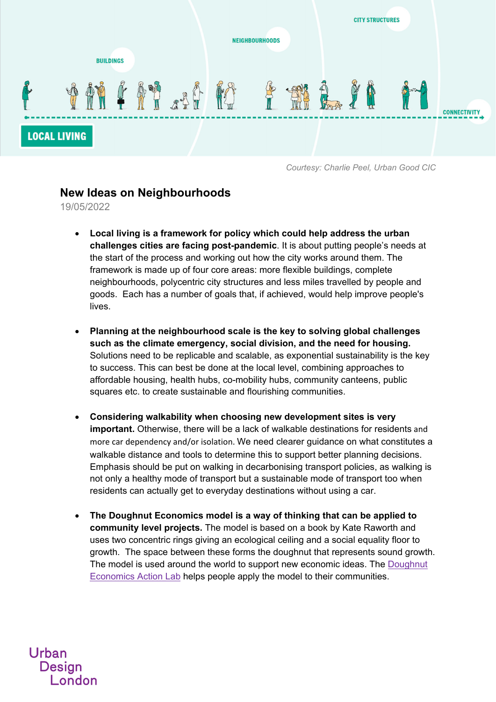

*Courtesy: Charlie Peel, Urban Good CIC* 

## **New Ideas on Neighbourhoods**

19/05/2022

- **Local living is a framework for policy which could help address the urban challenges cities are facing post-pandemic**. It is about putting people's needs at the start of the process and working out how the city works around them. The framework is made up of four core areas: more flexible buildings, complete neighbourhoods, polycentric city structures and less miles travelled by people and goods. Each has a number of goals that, if achieved, would help improve people's lives.
- **Planning at the neighbourhood scale is the key to solving global challenges such as the climate emergency, social division, and the need for housing.**  Solutions need to be replicable and scalable, as exponential sustainability is the key to success. This can best be done at the local level, combining approaches to affordable housing, health hubs, co-mobility hubs, community canteens, public squares etc. to create sustainable and flourishing communities.
- **Considering walkability when choosing new development sites is very important.** Otherwise, there will be a lack of walkable destinations for residents and more car dependency and/or isolation. We need clearer guidance on what constitutes a walkable distance and tools to determine this to support better planning decisions. Emphasis should be put on walking in decarbonising transport policies, as walking is not only a healthy mode of transport but a sustainable mode of transport too when residents can actually get to everyday destinations without using a car.
- **The Doughnut Economics model is a way of thinking that can be applied to community level projects.** The model is based on a book by Kate Raworth and uses two concentric rings giving an ecological ceiling and a social equality floor to growth. The space between these forms the doughnut that represents sound growth. The model is used around the world to support new economic ideas. The Doughnut Economics Action Lab helps people apply the model to their communities.

## Urban **Desian** London